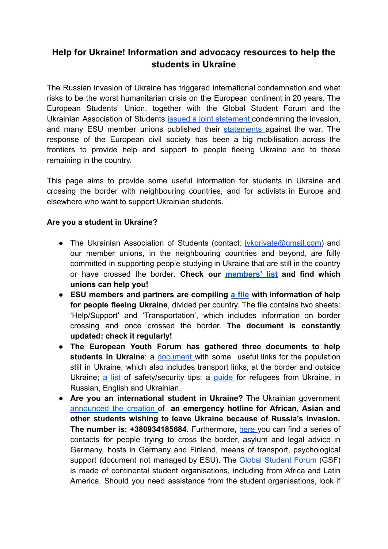## **Help for Ukraine! Information and advocacy resources to help the students in Ukraine**

The Russian invasion of Ukraine has triggered international condemnation and what risks to be the worst humanitarian crisis on the European continent in 20 years. The European Students' Union, together with the Global Student Forum and the Ukrainian Association of Students issued a joint [statement](https://www.esu-online.org/wp-content/uploads/2022/02/GSF_ESU_UAS-Statement-addressing-the-renewed-Russian-Aggression-towards-Ukraine-.pdf) condemning the invasion, and many ESU member unions published their [statements](https://www.facebook.com/Europeanstudents/photos/a.483631664333/10159795596699334/) against the war. The response of the European civil society has been a big mobilisation across the frontiers to provide help and support to people fleeing Ukraine and to those remaining in the country.

This page aims to provide some useful information for students in Ukraine and crossing the border with neighbouring countries, and for activists in Europe and elsewhere who want to support Ukrainian students.

## **Are you a student in Ukraine?**

- The Ukrainian Association of Students (contact: *[jvkprivate@gmail.com\)](mailto:jvkprivate@gmail.com)* and our member unions, in the neighbouring countries and beyond, are fully committed in supporting people studying in Ukraine that are still in the country or have crossed the border**. Check our [members'](https://www.esu-online.org/about/full-member-directory/) list and find which unions can help you!**
- **ESU members and partners are compiling a [file](https://docs.google.com/spreadsheets/d/1y4O_-lMBybhMyitITlup4bVr1QOYvnJkKuBfRlIqny0/edit#gid=0) with information of help for people fleeing Ukraine**, divided per country. The file contains two sheets: 'Help/Support' and 'Transportation', which includes information on border crossing and once crossed the border. **The document is constantly updated: check it regularly!**
- **The European Youth Forum has gathered three documents to help students in Ukraine:** a [document](https://docs.google.com/document/d/1n6LyJ1ig70hvQ6jYXlba4Y1-2SbUEXdQ4DsfH22dtNE/mobilebasic?fbclid=IwAR2htKOmM7S41V1IC8uRHLY3V7phb4Y6_Bno2y_g0hc5mIJvIktilLHAMAc&mc_cid=4180f68ec2&mc_eid=0574c660e6&urp=gmail_link) with some useful links for the population still in Ukraine, which also includes transport links, at the border and outside Ukraine; a [list](https://docs.google.com/document/d/1NovseOA3FZrX9JwrR3DjM3D-F2_vrjPN05Gt8xPV1vw/mobilebasic?fbclid=IwAR32E_6cGuRD_I4ej17Kl4eHxIUIMPzQYlJyXf-c7xCQHxs4um28HXNoHvI&mc_cid=4180f68ec2&mc_eid=0574c660e6&urp=gmail_link) of safety/security tips; a [guide](https://docs.google.com/document/d/1JnGXihuC9kjLORMgG9i8n9iiafq7OiCw_L9YWdwigb8/edit?mc_cid=4180f68ec2&mc_eid=0574c660e6#heading=h.oq29bdq1n7uqheading=h.oq29bdq1n7uq) for refugees from Ukraine, in Russian, English and Ukrainian.
- **Are you an international student in Ukraine?** The Ukrainian government [announced](https://twitter.com/DmytroKuleba/status/1499094640552775682?ref_src=twsrc%5Etfw%7Ctwcamp%5Etweetembed%7Ctwterm%5E1499094640552775682%7Ctwgr%5E%7Ctwcon%5Es1_&ref_url=https%3A%2F%2Fwww.redditmedia.com%2Fmediaembed%2Fliveupdate%2F18hnzysb1elcs%2FLiveUpdate_933b3c58-9a5a-11ec-b97f-fa2038b5da22%2F0) the creation of **an emergency hotline for African, Asian and other students wishing to leave Ukraine because of Russia's invasion. The number is: +380934185684.** Furthermore, [here](https://docs.google.com/document/d/19zo8AbuysWrBVN6uD0UYOVt358ZZULIw9A4oYEUxz0c/mobilebasic?fbclid=IwAR0XBFNCgM9Gp3CIFXFCGZ221AS1m2I4zSjJA5myyt7HgGa8Cw66R05kauw#h.g8ku0ppww2qn) you can find a series of contacts for people trying to cross the border, asylum and legal advice in Germany, hosts in Germany and Finland, means of transport, psychological support (document not managed by ESU). The Global [Student](https://www.globalstudentforum.org/) Forum (GSF) is made of continental student organisations, including from Africa and Latin America. Should you need assistance from the student organisations, look if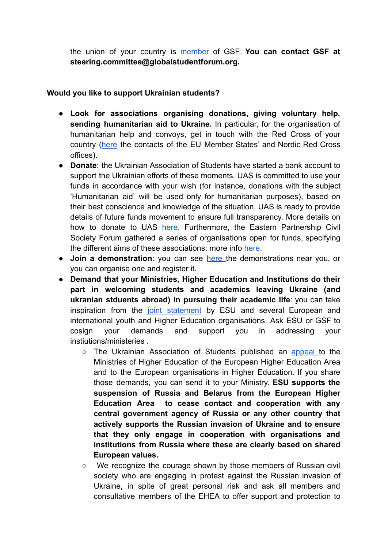the union of your country is [member](https://www.globalstudentforum.org/about/membership/) of GSF. **You can contact GSF at steering.committee@globalstudentforum.org.**

## **Would you like to support Ukrainian students?**

- **Look for associations organising donations, giving voluntary help, sending humanitarian aid to Ukraine.** In particular, for the organisation of humanitarian help and convoys, get in touch with the Red Cross of your country [\(here](https://redcross.eu/about/our-members) the contacts of the EU Member States' and Nordic Red Cross offices).
- **Donate**: the Ukrainian Association of Students have started a bank account to support the Ukrainian efforts of these moments. UAS is committed to use your funds in accordance with your wish (for instance, donations with the subject 'Humanitarian aid' will be used only for humanitarian purposes), based on their best conscience and knowledge of the situation. UAS is ready to provide details of future funds movement to ensure full transparency. More details on how to donate to UAS [here](https://drive.google.com/file/d/16Xg_8tjTu_51R_AZ8rp99x9ah2Y0nqOa/view?usp=sharing). Furthermore, the Eastern Partnership Civil Society Forum gathered a series of organisations open for funds, specifying the different aims of these associations: more info [here](https://www.facebook.com/EaP.Civil.Society.Forum/photos/a.479536162663/10160204147097664/).
- **Join a demonstration**: you can see [here](https://standwithukraine.live/) the demonstrations near you, or you can organise one and register it.
- **Demand that your Ministries, Higher Education and Institutions do their part in welcoming students and academics leaving Ukraine (and ukranian stduents abroad) in pursuing their academic life**: you can take inspiration from the joint [statement](https://www.esu-online.org/wp-content/uploads/2022/03/Use-of-the-University-resources-Russian-invasion-of-Ukraine-1.pdf) by ESU and several European and international youth and Higher Education organisations. Ask ESU or GSF to cosign your demands and support you in addressing your instiutions/ministeries .
	- The Ukrainian Association of Students published an [appeal](https://drive.google.com/file/d/1YqHTSbeMRlHB20YDWyPA5bKr2kp9giC7/view?usp=sharing) to the Ministries of Higher Education of the European Higher Education Area and to the European organisations in Higher Education. If you share those demands, you can send it to your Ministry. **ESU supports the suspension of Russia and Belarus from the European Higher Education Area to cease contact and cooperation with any central government agency of Russia or any other country that actively supports the Russian invasion of Ukraine and to ensure that they only engage in cooperation with organisations and institutions from Russia where these are clearly based on shared European values.**
	- **○** We recognize the courage shown by those members of Russian civil society who are engaging in protest against the Russian invasion of Ukraine, in spite of great personal risk and ask all members and consultative members of the EHEA to offer support and protection to